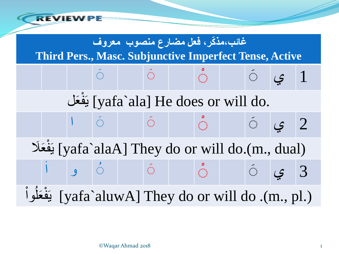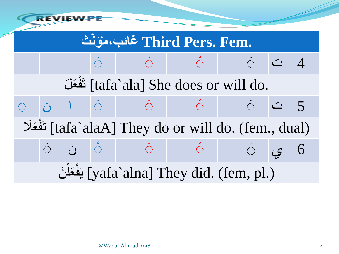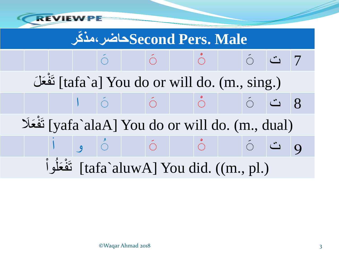

## **كر ّمذ٬حاضرSecond Pers. Male**

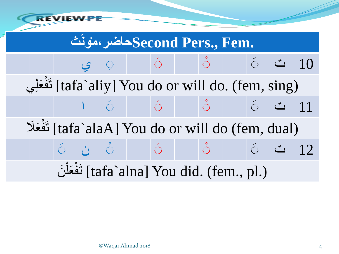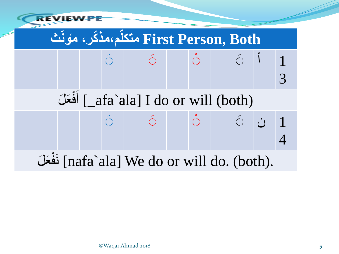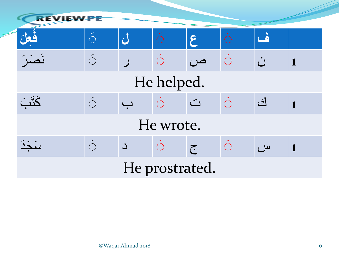| <b>REVIEW-PE</b> |                    |          |                    |                                                                                                                                                                                                                                                                                                                                                                                                                                                                                                                                                                 |                    |              |             |  |  |  |  |
|------------------|--------------------|----------|--------------------|-----------------------------------------------------------------------------------------------------------------------------------------------------------------------------------------------------------------------------------------------------------------------------------------------------------------------------------------------------------------------------------------------------------------------------------------------------------------------------------------------------------------------------------------------------------------|--------------------|--------------|-------------|--|--|--|--|
|                  | $\bigoplus$        |          | $\bigcirc$         | ۶                                                                                                                                                                                                                                                                                                                                                                                                                                                                                                                                                               |                    | <b>ANTI</b>  |             |  |  |  |  |
|                  | $\hat{\mathbb{C}}$ |          | $\bigcirc$         | $\overline{\smash{\cup}}$                                                                                                                                                                                                                                                                                                                                                                                                                                                                                                                                       | Ó                  | $\dot{\cup}$ | $\mathbf 1$ |  |  |  |  |
| He helped.       |                    |          |                    |                                                                                                                                                                                                                                                                                                                                                                                                                                                                                                                                                                 |                    |              |             |  |  |  |  |
| <u>كَتَبَ</u>    |                    |          | $\hat{\mathbb{C}}$ | $\ddot{\underline{\phantom{m}}}\phantom{\ddot{\phantom{m}}}\phantom{\ddot{\phantom{m}}}\phantom{\dot{\phantom{m}}}\phantom{\dot{\phantom{m}}}\phantom{\dot{\phantom{m}}}\phantom{\dot{\phantom{m}}}\phantom{\dot{\phantom{m}}}\phantom{\dot{\phantom{m}}}\phantom{\dot{\phantom{m}}}\phantom{\dot{\phantom{m}}}\phantom{\dot{\phantom{m}}}\phantom{\dot{\phantom{m}}}\phantom{\dot{\phantom{m}}}\phantom{\dot{\phantom{m}}}\phantom{\dot{\phantom{m}}}\phantom{\dot{\phantom{m}}}\phantom{\dot{\phantom{m}}}\phantom{\dot{\phantom{m}}}\phantom{\dot{\phantom{$ | $\hat{\mathbb{C}}$ | <u>اک</u>    | $\mathbf 1$ |  |  |  |  |
| He wrote.        |                    |          |                    |                                                                                                                                                                                                                                                                                                                                                                                                                                                                                                                                                                 |                    |              |             |  |  |  |  |
| سَكَّدُ          | $\hat{\mathbb{C}}$ | $\Delta$ |                    | $\tilde{c}$                                                                                                                                                                                                                                                                                                                                                                                                                                                                                                                                                     | $\hat{\mathbb{C}}$ | س            | $\mathbf 1$ |  |  |  |  |
| He prostrated.   |                    |          |                    |                                                                                                                                                                                                                                                                                                                                                                                                                                                                                                                                                                 |                    |              |             |  |  |  |  |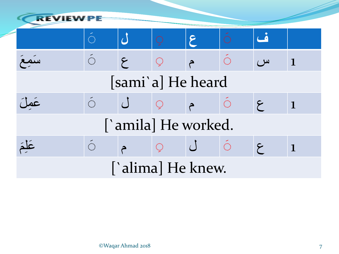| <b>REVIEW</b>       |                    |                 |              |                                               |                    |            |             |  |  |  |
|---------------------|--------------------|-----------------|--------------|-----------------------------------------------|--------------------|------------|-------------|--|--|--|
|                     |                    |                 |              | ۶                                             |                    |            |             |  |  |  |
| rau                 | $\langle \rangle$  | $\epsilon$      | $\mathbb{C}$ |                                               | Ó                  | س          | $\mathbf 1$ |  |  |  |
| [sami'a] He heard   |                    |                 |              |                                               |                    |            |             |  |  |  |
| عَمِلَ              |                    | $\left(\right)$ | $\mathbb{C}$ |                                               | $\mathbb{C}$       | $\epsilon$ | $\mathbf 1$ |  |  |  |
| ['amila] He worked. |                    |                 |              |                                               |                    |            |             |  |  |  |
| عَلَّمَ             | $\hat{\mathbb{C}}$ |                 | $\mathbb{C}$ | $\left( \begin{array}{c} \end{array} \right)$ | $\hat{\mathbb{C}}$ | اسح        |             |  |  |  |
| ['alima] He knew.   |                    |                 |              |                                               |                    |            |             |  |  |  |